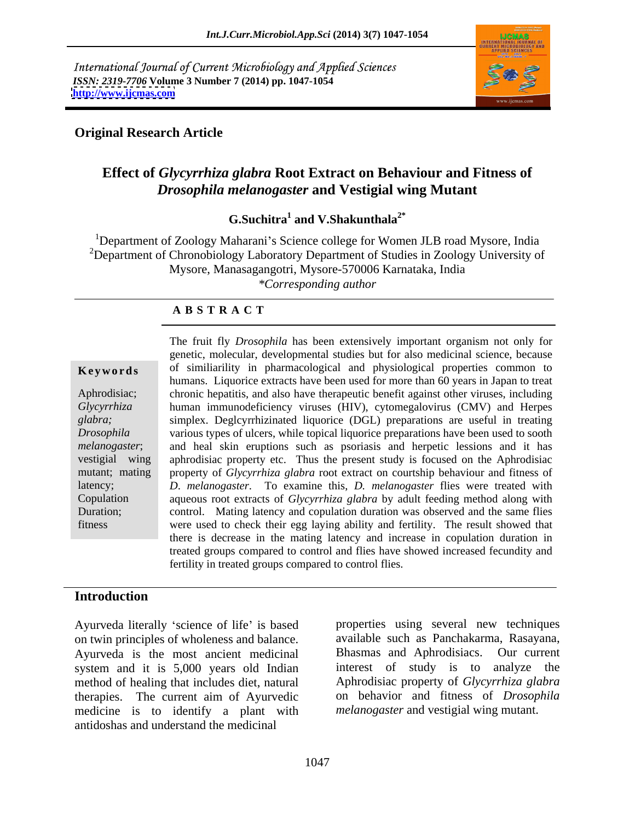International Journal of Current Microbiology and Applied Sciences *ISSN: 2319-7706* **Volume 3 Number 7 (2014) pp. 1047-1054 <http://www.ijcmas.com>**



# **Original Research Article**

# **Effect of** *Glycyrrhiza glabra* **Root Extract on Behaviour and Fitness of**  *Drosophila melanogaster* **and Vestigial wing Mutant**

G.Suchitra<sup>1</sup> and V.Shakunthala<sup>2\*</sup>  **and V.Shakunthala2\***

<sup>1</sup>Department of Zoology Maharani's Science college for Women JLB road Mysore, India <sup>2</sup>Department of Chronobiology Laboratory Department of Studies in Zoology University of Mysore, Manasagangotri, Mysore-570006 Karnataka, India *\*Corresponding author*

### **A B S T R A C T**

**Keywords** of similiarility in pharmacological and physiological properties common to Aphrodisiac; chronic hepatitis, and also have therapeutic benefit against other viruses, including *Glycyrrhiza*  human immunodeficiency viruses (HIV), cytomegalovirus (CMV) and Herpes *glabra;* simplex. Deglcyrrhizinated liquorice (DGL) preparations are usefulin treating *Drosophila*  various types of ulcers, while topical liquorice preparations have been used to sooth *melanogaster*; and heal skin eruptions such as psoriasis and herpetic lessions and it has vestigial wing aphrodisiac property etc. Thus the present study is focused on the Aphrodisiac mutant; mating property of *Glycyrrhiza glabra* root extract on courtship behaviour and fitness of latency; *D*. *melanogaster*. To examine this, *D. melanogaster* flies were treated with Copulation aqueous root extracts of *Glycyrrhiza glabra* by adult feeding method along with Duration; control. Mating latency and copulation duration was observed and the same flies fitness were used to check their egg laying ability and fertility. The result showed that The fruit fly *Drosophila* has been extensively important organism not only for genetic, molecular, developmental studies but for also medicinal science, because humans.Liquorice extracts have been used for more than 60 years in Japan to treat there is decrease in the mating latency and increase in copulation duration in treated groups compared to control and flies have showed increased fecundity and fertility in treated groups compared to control flies.

### **Introduction**

Ayurveda literally 'science of life' is based Ayurveda is the most ancient medicinal system and it is 5,000 years old Indian method of healing that includes diet, natural medicine is to identify a plant with antidoshas and understand the medicinal

on twin principles of wholeness and balance. available such as Panchakarma, Rasayana, therapies. The current aim of Ayurvedic on behavior and fitness of *Drosophila*  properties using several new techniques Bhasmas and Aphrodisiacs. Our current interest of study is to analyze the Aphrodisiac property of *Glycyrrhiza glabra melanogaster* and vestigial wing mutant.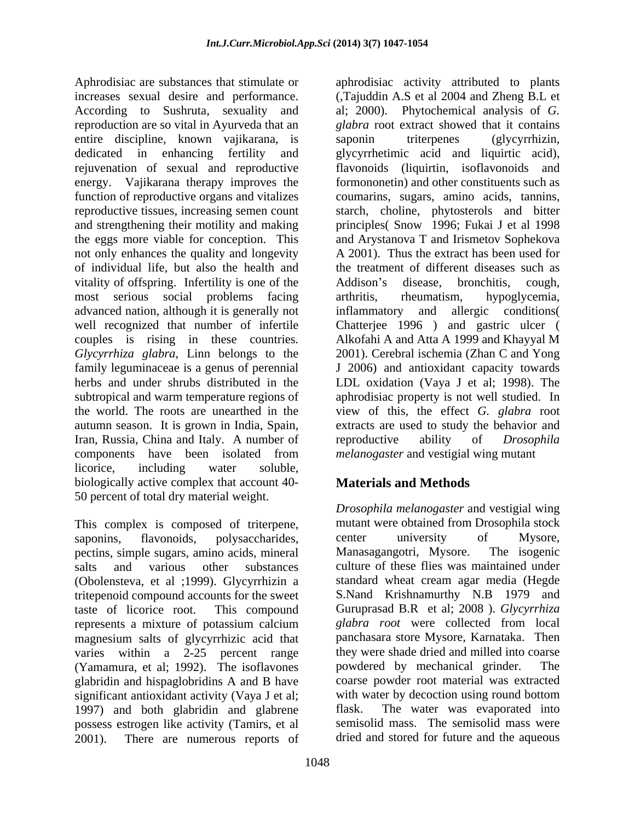Aphrodisiac are substances that stimulate or aphrodisiac activity attributed to plants According to Sushruta, sexuality and al: 2000). entire discipline, known vajikarana, is saponin triterpenes (glycyrrhizin, energy. Vajikarana therapy improves the the eggs more viable for conception. This not only enhances the quality and longevity of individual life, but also the health and vitality of offspring. Infertility is one of the Addison's disease, bronchitis, cough, most serious social problems facing arthritis, rheumatism, hypoglycemia, advanced nation, although it is generally not Iran, Russia, China and Italy. A number of reproductive ability of *Drosophila* components have been isolated from *melanogaster* and vestigial wing mutant licorice, including water soluble, biologically active complex that account 40- 50 percent of total dry material weight.

This complex is composed of triterpene, pectins, simple sugars, amino acids, mineral (Obolensteva, et al ;1999). Glycyrrhizin a tritepenoid compound accounts for the sweet represents a mixture of potassium calcium glabra root were collected from local magnesium salts of glycyrrhizic acid that varies within a 2-25 percent range (Yamamura, et al; 1992). The isoflavones glabridin and hispaglobridins A and B have significant antioxidant activity (Vaya J et al; 1997) and both glabridin and glabrene possess estrogen like activity (Tamirs, et al 2001). There are numerous reports of dried and stored for future and the aqueous

increases sexual desire and performance. (,Tajuddin A.S et al 2004 and Zheng B.L et reproduction are so vital in Ayurveda that an *glabra* root extract showed that it contains dedicated in enhancing fertility and glycyrrhetimic acid and liquirtic acid), rejuvenation of sexual and reproductive flavonoids (liquirtin, isoflavonoids and function of reproductive organs and vitalizes coumarins, sugars, amino acids, tannins, reproductive tissues, increasing semen count starch, choline, phytosterols and bitter and strengthening their motility and making principles( Snow 1996; Fukai J et al 1998 well recognized that number of infertile Chatterjee 1996 ) and gastric ulcer ( couples is rising in these countries*. Glycyrrhiza glabra,* Linn belongs to the family leguminaceae is a genus of perennial J2006) and antioxidant capacity towards herbs and under shrubs distributed in the LDL oxidation (Vaya J et al; 1998). The subtropical and warm temperature regions of aphrodisiac property is not well studied. In the world. The roots are unearthed in the view of this, the effect *G. glabra* root autumn season. It is grown in India, Spain, extracts are used to study the behavior and Phytochemical analysis of *G*. saponin triterpenes (glycyrrhizin, formononetin) and other constituents such as and Arystanova T and Irismetov Sophekova A 2001). Thus the extract has been used for the treatment of different diseases such as Addison's disease, bronchitis, cough, arthritis, rheumatism, hypoglycemia, and allergic conditions Alkofahi A and Atta A 1999 and Khayyal M 2001). Cerebral ischemia (Zhan C and Yong reproductive ability of *Drosophila melanogaster* and vestigial wing mutant

# **Materials and Methods**

saponins, flavonoids, polysaccharides, center university of Mysore, salts and various other substances culture of these flies was maintained under taste of licorice root. This compound Guruprasad B.R et al; 2008 ).*Glycyrrhiza Drosophila melanogaster* and vestigial wing mutant were obtained from Drosophila stock center university of Mysore, Manasagangotri, Mysore. standard wheat cream agar media (Hegde S.Nand Krishnamurthy N.B 1979 and *glabra root* were collected from local panchasara store Mysore, Karnataka. Then they were shade dried and milled into coarse powdered by mechanical grinder. coarse powder root material was extracted with water by decoction using round bottom The water was evaporated into semisolid mass. The semisolid mass were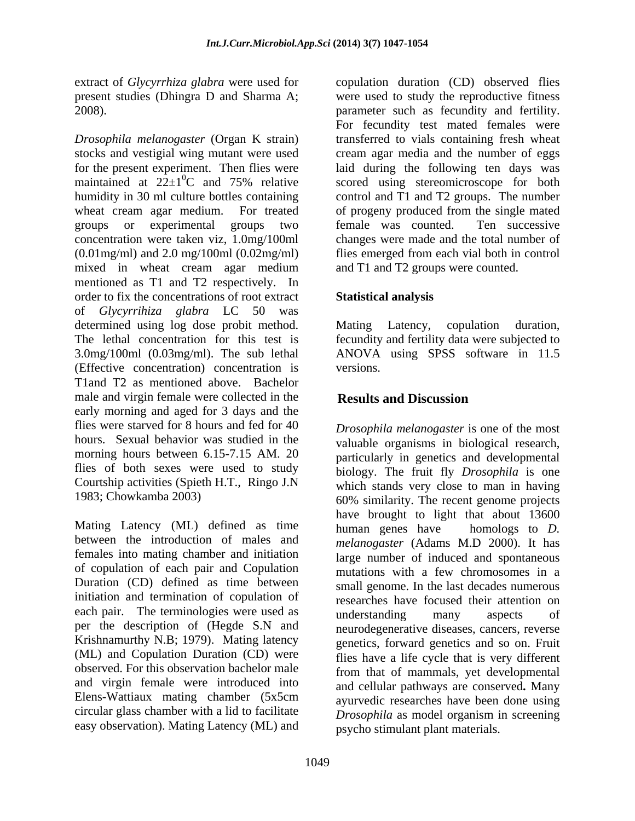extract of *Glycyrrhiza glabra* were used for present studies (Dhingra D and Sharma A;

*Drosophila melanogaster* (Organ K strain) stocks and vestigial wing mutant were used cream agar media and the number of eggs for the present experiment. Then flies were laid during the following ten days was maintained at  $22\pm1$ <sup>o</sup>C and 75% relative scored using stereomicroscope for both humidity in 30 ml culture bottles containing control and T1 and T2 groups. The number wheat cream agar medium. For treated of progeny produced from the single mated groups or experimental groups two concentration were taken viz, 1.0mg/100ml (0.01mg/ml) and 2.0 mg/100ml (0.02mg/ml) flies emerged from each vial both in control mixed in wheat cream agar medium mentioned as T1 and T2 respectively. In order to fix the concentrations of root extract **Statistical analysis** of *Glycyrrihiza glabra* LC 50 was determined using log dose probit method. Mating Latency, copulation duration, The lethal concentration for this test is fecundity and fertility data were subjected to 3.0mg/100ml (0.03mg/ml). The sub lethal ANOVA using SPSS software in 11.5 (Effective concentration) concentration is T1and T2 as mentioned above. Bachelor male and virgin female were collected in the **Results and Discussion** early morning and aged for 3 days and the flies were starved for 8 hours and fed for 40 hours. Sexual behavior was studied in the valuable organisms in biological research, morning hours between 6.15-7.15 AM. 20 particularly in genetics and developmental flies of both sexes were used to study Courtship activities (Spieth H.T., Ringo J.N

Mating Latency (ML) defined as time human genes have homologs to D. between the introduction of males and *melanogaster* (Adams M.D 2000). It has females into mating chamber and initiation of copulation of each pair and Copulation Duration (CD) defined as time between initiation and termination of copulation of researches have focused their attention on each pair. The terminologies were used as  $u$  and  $v$  many aspects of per the description of (Hegde S.N and Krishnamurthy N.B; 1979). Mating latency (ML) and Copulation Duration (CD) were observed. For this observation bachelor male and virgin female were introduced into Elens-Wattiaux mating chamber (5x5cm ayurvedic researches have been done using circular glass chamber with a lid to facilitate easy observation). Mating Latency (ML) and

2008). parameter such as fecundity and fertility.  ${}^{0}$ C and 75% relative scored using stereomicroscope for both copulation duration (CD) observed flies were used to study the reproductive fitness For fecundity test mated females were transferred to vials containing fresh wheat female was counted. Ten successive changes were made and the total number of and T1 and T2 groups were counted.

# **Statistical analysis**

Mating Latency, copulation duration, versions.

# **Results and Discussion**

1983; Chowkamba 2003) 60% similarity. The recent genome projects *Drosophila melanogaster* is one of the most biology. The fruit fly *Drosophila* is one which stands very close to man in having have brought to light that about 13600 human genes have homologs to *D.*  large number of induced and spontaneous mutations with a few chromosomes in a small genome. In the last decades numerous understanding many aspects of neurodegenerative diseases, cancers, reverse genetics, forward genetics and so on. Fruit flies have a life cycle that is very different from that of mammals, yet developmental and cellular pathways are conserved**.** Many *Drosophila* as model organism in screening psycho stimulant plant materials.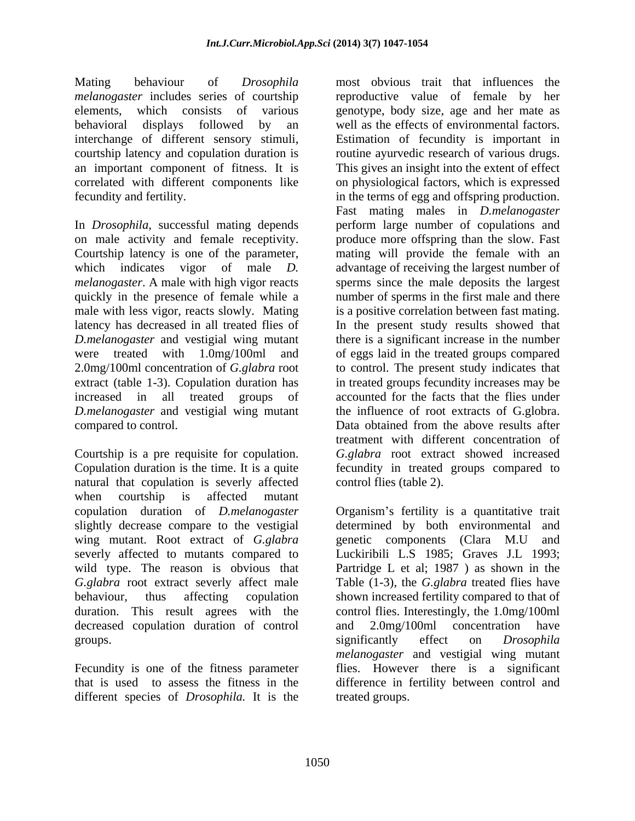interchange of different sensory stimuli,

*D.melanogaster* and vestigial wing mutant compared to control. Data obtained from the above results after

Courtship is a pre requisite for copulation. natural that copulation is severly affected when courtship is affected mutant wing mutant. Root extract of *G.glabra* genetic components (Clara M.U and severly affected to mutants compared to decreased copulation duration of control and 2.0mg/100ml concentration have

different species of *Drosophila.* It is the

Mating behaviour of *Drosophila*  most obvious trait that influences the *melanogaster* includes series of courtship reproductive value of female by her elements, which consists of various genotype, body size, age and her mate as behavioral displays followed by an well as the effects of environmental factors. courtship latency and copulation duration is routine ayurvedic research of various drugs. an important component of fitness. It is This gives an insight into the extent of effect correlated with different components like on physiological factors, which is expressed fecundity and fertility. in the terms of egg and offspring production. In *Drosophila*, successful mating depends perform large number of copulations and on male activity and female receptivity. produce more offspring than the slow. Fast Courtship latency is one of the parameter, mating will provide the female with an which indicates vigor of male *D*. advantage of receiving the largest number of *melanogaster*. A male with high vigor reacts sperms since the male deposits the largest quickly in the presence of female while a number of sperms in the first male and there male with less vigor, reacts slowly. Mating is a positive correlation between fast mating. latency has decreased in all treated flies of In the present study results showed that were treated with 1.0mg/100ml and of eggs laid in the treated groups compared 2.0mg/100ml concentration of *G.glabra* root to control. The present study indicates that extract (table 1-3). Copulation duration has in treated groups fecundity increases may be increased in all treated groups of accounted for the facts that the flies under *D.melanogaster* and vestigial wing mutant the influence of root extracts of G.globra. Copulation duration is the time. It is a quite fecundity in treated groups compared to Estimation of fecundity is important in Fast mating males in *D.melanogaster* there is a significant increase in the number Data obtained from the above results after treatment with different concentration of *G.glabra* root extract showed increased control flies (table 2).

copulation duration of *D.melanogaster* Organism's fertility is a quantitative trait slightly decrease compare to the vestigial determined by both environmental and wild type. The reason is obvious that Partridge L et al; 1987 ) as shown in the *G.glabra* root extract severly affect male Table (1-3), the *G.glabra* treated flies have behaviour, thus affecting copulation shown increased fertility compared to that of duration. This result agrees with the control flies. Interestingly, the 1.0mg/100ml groups. The settle of the settlement of the significantly effect on *Drosophila* Fecundity is one of the fitness parameter flies. However there is a significant that is used to assess the fitness in the difference in fertility between control and genetic components (Clara M.U Luckiribili L.S 1985; Graves J.L 1993; and 2.0mg/100ml concentration have significantly effect on *Drosophila melanogaster* and vestigial wing mutant treated groups.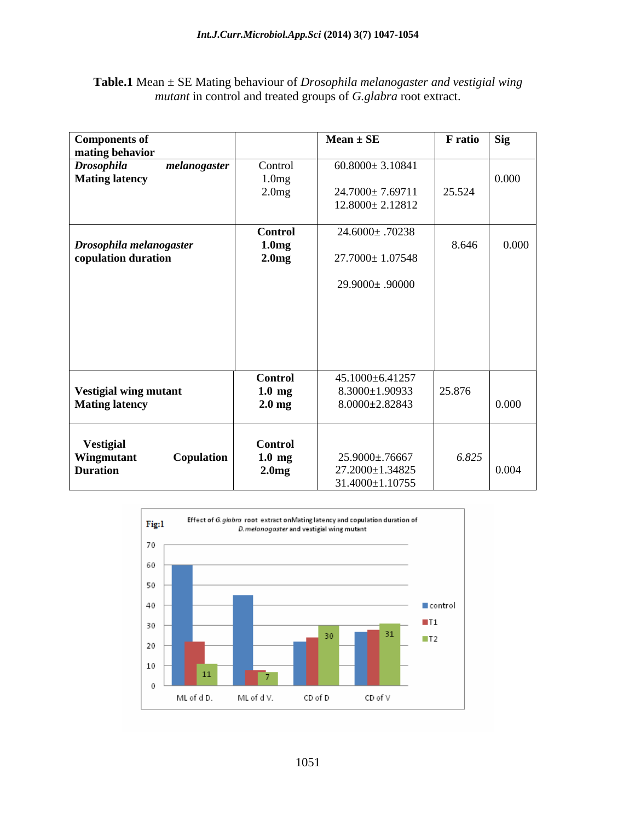| Table.1 Mean<br>$\pm$ SE Mating behaviour of <i>Drosophila melanogaster and vestigial wing</i> |
|------------------------------------------------------------------------------------------------|
| <i>mutant</i> in control and treated groups of <i>G. glabra</i> root extract.                  |

| Components of<br>mating behavior                                |                                                          | $Mean \pm SE$                                                     | <b>F</b> ratio | Sig   |
|-----------------------------------------------------------------|----------------------------------------------------------|-------------------------------------------------------------------|----------------|-------|
| <b>Drosophila</b><br>melanogaster<br><b>Mating latency</b>      | Control<br>1.0 <sub>mg</sub><br>2.0mg                    | $60.8000 \pm 3.10841$<br>24.7000±7.69711<br>$12.8000 \pm 2.12812$ | 25.524         | 0.000 |
| Drosophila melanogaster<br>copulation duration                  | <b>Control</b><br>1.0 <sub>mg</sub><br>2.0 <sub>mg</sub> | 24.6000± .70238<br>27.7000±1.07548                                | 8.646          | 0.000 |
|                                                                 |                                                          | 29.9000± .90000                                                   |                |       |
| Vestigial wing mutant<br><b>Mating latency</b>                  | Control<br>$1.0 \text{ mg}$<br>$2.0 \text{ mg}$          | 45.1000±6.41257<br>$8.3000 \pm 1.90933$<br>$8.0000 \pm 2.82843$   | 25.876         | 0.000 |
| <b>Vestigial</b><br>Wingmutant<br>Copulation<br><b>Duration</b> | <b>Control</b><br>$1.0 \text{ mg}$<br>2.0 <sub>mg</sub>  | 25.9000±.76667<br>27.2000±1.34825<br>31.4000±1.10755              | 6.825          | 0.004 |

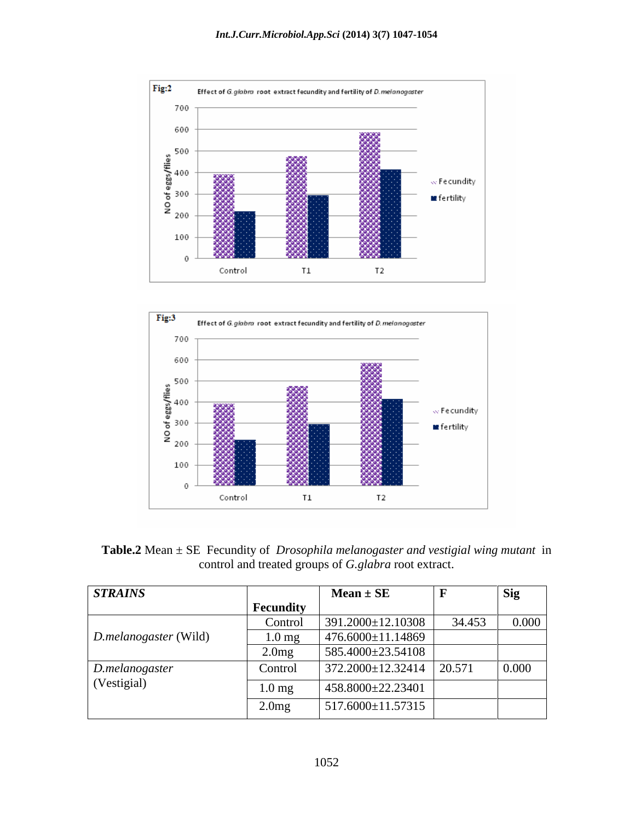



**Table.2** Mean ± SE Fecundity of *Drosophila melanogaster and vestigial wing mutant* in control and treated groups of *G.glabra* root extract.

| <b>STRAINS</b>                       |                  | $Mean \pm SE$                    |        | <b>Sig</b> |
|--------------------------------------|------------------|----------------------------------|--------|------------|
|                                      | Fecundity        |                                  |        |            |
|                                      | Control          | 391.2000±12.10308                | 34.453 | 0.000      |
| $\vert$ <i>D.melanogaster</i> (Wild) | $1.0 \text{ mg}$ | $476.6000 \pm 11.14869$          |        |            |
|                                      | 2.0mg            | 585.4000±23.54108                |        |            |
| D. melanogaster                      | Control          | $372.2000 \pm 12.32414$   20.571 |        | 0.000      |
| (Vestigial)                          | $1.0 \text{ mg}$ | $458.8000 \pm 22.23401$          |        |            |
|                                      | 2.0mg            | 517.6000±11.57315                |        |            |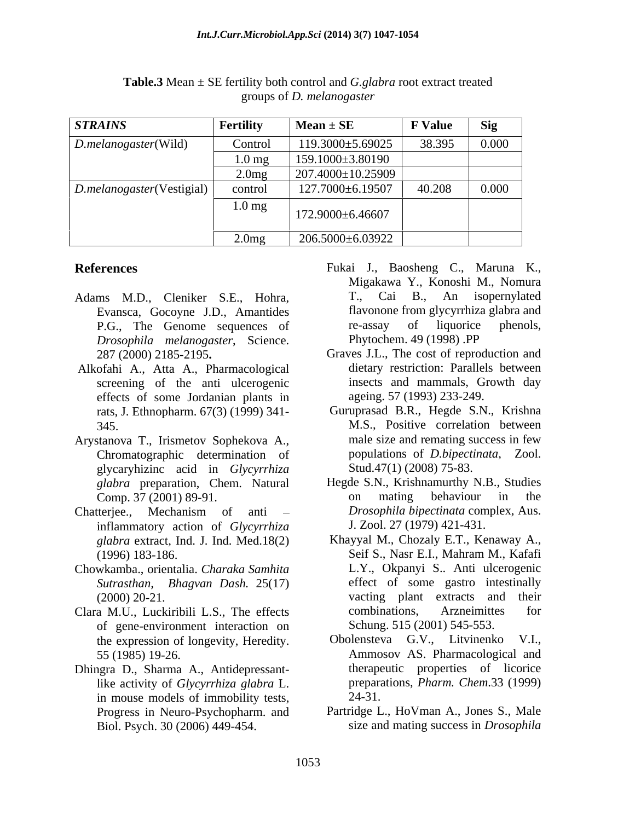| <b>STRAINS</b>            | Fertility         | $Mean \pm SE$     | <b>F</b> Value | Sig   |
|---------------------------|-------------------|-------------------|----------------|-------|
| $D. melanogaster$ (Wild)  | Control           | 119.3000±5.69025  | 38.395         | 0.000 |
|                           | 1.0 <sub>mg</sub> | 159.1000±3.80190  |                |       |
|                           | 2.0mg             | 207.4000±10.25909 |                |       |
| D.melanogaster(Vestigial) | control           | 127.7000±6.19507  | 40.208         | 0.000 |
|                           | $1.0$ mg          | 172.9000±6.46607  |                |       |
|                           | 2.0 <sub>mg</sub> | 206.5000±6.03922  |                |       |

**Table.3** Mean ± SE fertility both control and *G.glabra* root extract treated groups of *D. melanogaster*

- Evansca, Gocoyne J.D., Amantides flavonone from glycyrrhiza<br>P.G., The Genome sequences of re-assay of liquorice *Drosophila melanogaster*, Science.
- Alkofahi A., Atta A., Pharmacological screening of the anti ulcerogenic effects of some Jordanian plants in
- Chromatographic determination of glycaryhizinc acid in *Glycyrrhiza glabra* preparation, Chem. Natural *Hegde S.N.*, Krishnamurthy N.<br>Comp. 37 (2001) 89-91. The on mating behaviour
- inflammatory action of *Glycyrrhiza glabra* extract, Ind. J. Ind. Med.18(2)
- Chowkamba., orientalia. *Charaka Samhita Sutrasthan, Bhagvan Dash.* 25(17)
- of gene-environment interaction on
- Dhingra D., Sharma A., Antidepressantlike activity of *Glycyrrhiza glabra* L. prepara<br>in mouse models of immobility tests 24-31. in mouse models of immobility tests, Progress in Neuro-Psychopharm. and Biol. Psych. 30 (2006) 449-454. size and mating success in *Drosophila*
- **References** Fukai J., Baosheng C., Maruna K., Adams M.D., Cleniker S.E., Hohra, T., Cai B., An isopernylated P.G., The Genome sequences of re-assay of liquorice phenols,<br> *Drosophila melanogaster*, Science. Phytochem. 49 (1998) PP Migakawa Y., Konoshi M., Nomura T., Cai B., An isopernylated flavonone from glycyrrhiza glabra and re-assay of liquorice phenols, Phytochem. 49 (1998) .PP
	- 287 (2000) 2185-2195**.** Graves J.L., The cost of reproduction and dietary restriction: Parallels between insects and mammals, Growth day ageing. 57 (1993) 233-249.
- rats, J. Ethnopharm. 67(3) (1999) 341- Guruprasad B.R., Hegde S.N., Krishna 345. M.S., Positive correlation between Arystanova T., Irismetov Sophekova A., male size and remating success in few populations of *D.bipectinata*, Zool. Stud.47(1) (2008) 75-83.
- Comp. 37 (2001) 89-91. The comparison on mating behaviour in the Chatterjee., Mechanism of anti – *Drosophila bipectinata* complex, Aus. Hegde S.N., Krishnamurthy N.B., Studies on mating behaviour in the *Drosophila bipectinata* complex, Aus. J. Zool. 27 (1979) 421-431.
- (1996) 183-186. Seif S., Nasr E.I., Mahram M., Kafafi (2000) 20-21. vacting plant extracts and their Clara M.U., Luckiribili L.S., The effects Khayyal M., Chozaly E.T., Kenaway A., Seif S., Nasr E.I., Mahram M., Kafafi L.Y., Okpanyi S.. Anti ulcerogenic effect of some gastro intestinally combinations, Arzneimittes for Schung. 515 (2001) 545-553.
	- the expression of longevity, Heredity. Obolensteva G.V., Litvinenko V.I., 55 (1985) 19-26. Ammosov AS. Pharmacological and therapeutic properties of licorice preparations, *Pharm. Chem*.33 (1999) 24-31.
		- Partridge L., HoVman A., Jones S., Male